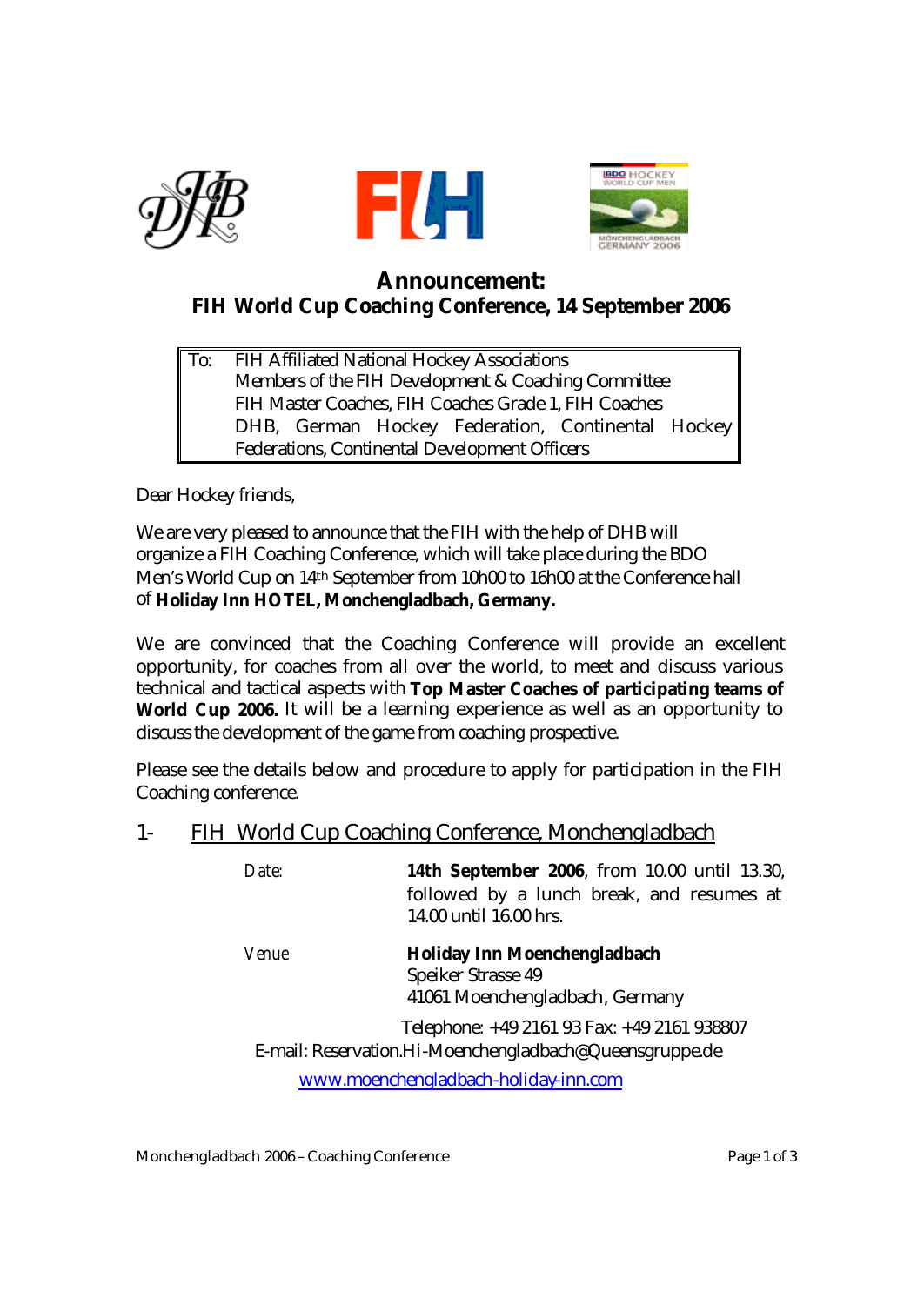





# **Announcement: FIH World Cup Coaching Conference, 14 September 2006**

To: FIH Affiliated National Hockey Associations Members of the FIH Development & Coaching Committee FIH Master Coaches, FIH Coaches Grade 1, FIH Coaches DHB, German Hockey Federation, Continental Hockey Federations, Continental Development Officers

Dear Hockey friends,

We are very pleased to announce that the FIH with the help of DHB will organize a FIH Coaching Conference, which will take place during the BDO Men's World Cup on 14th September from 10h00 to 16h00 at the Conference hall of **Holiday Inn HOTEL, Monchengladbach, Germany.** 

We are convinced that the Coaching Conference will provide an excellent opportunity, for coaches from all over the world, to meet and discuss various technical and tactical aspects with **Top Master Coaches of participating teams of World Cup 2006.** It will be a learning experience as well as an opportunity to discuss the development of the game from coaching prospective.

Please see the details below and procedure to apply for participation in the FIH Coaching conference.

## 1- FIH World Cup Coaching Conference, Monchengladbach

| Date: | <b>14th September 2006</b> , from 10.00 until 13.30,<br>followed by a lunch break, and resumes at<br>14.00 until 16.00 hrs. |
|-------|-----------------------------------------------------------------------------------------------------------------------------|
| Venue | <b>Holiday Inn Moenchengladbach</b><br><b>Speiker Strasse 49</b><br>41061 Moenchengladbach, Germany                         |
|       | Telephone: +49 2161 93 Fax: +49 2161 938807<br>E-mail: Reservation.Hi-Moenchengladbach@Queensgruppe.de                      |
|       | www.moenchengladbach-holiday-inn.com                                                                                        |

Monchengladbach 2006 – Coaching Conference Page 1 of 3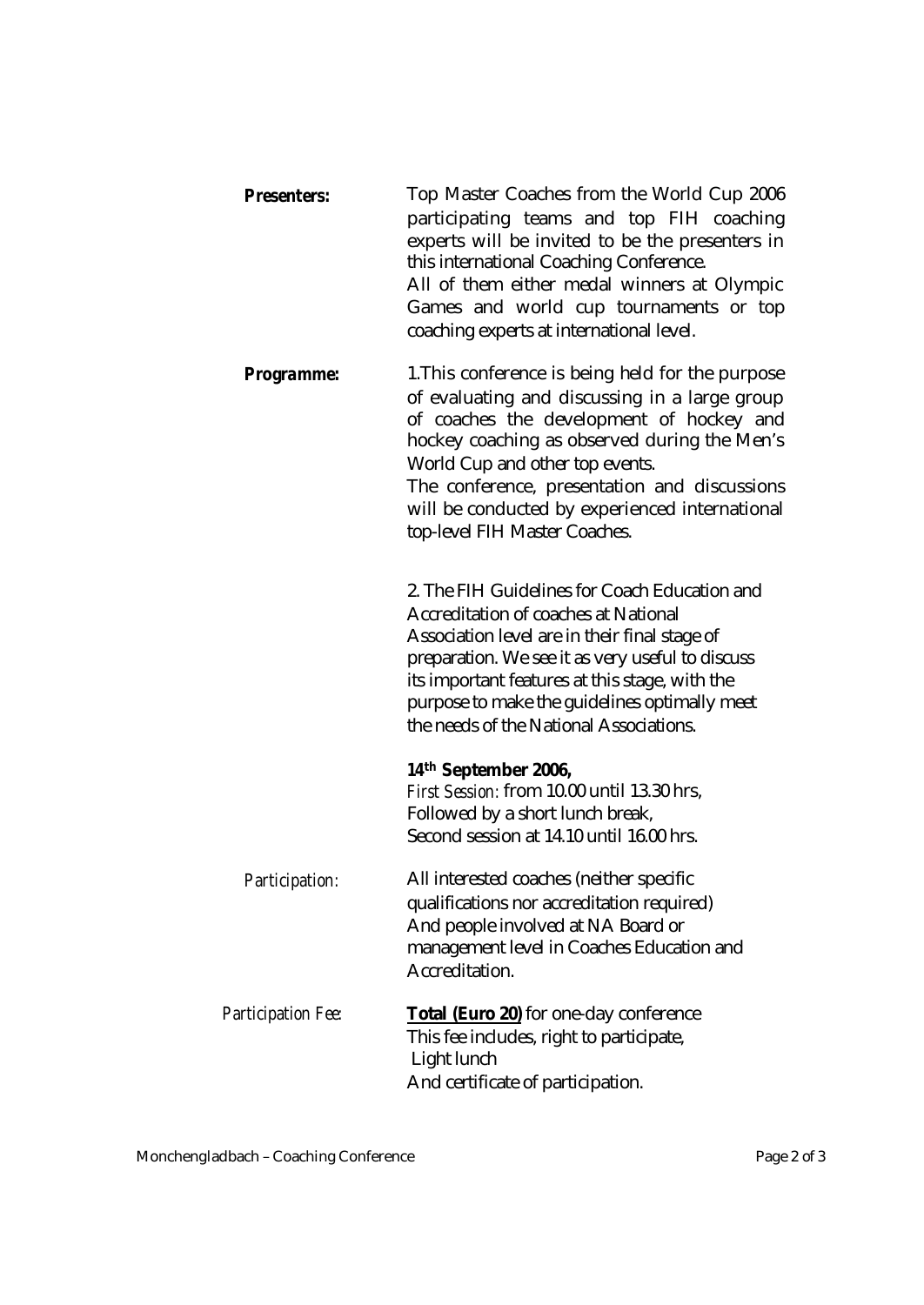| <b>Presenters:</b> | Top Master Coaches from the World Cup 2006<br>participating teams and top FIH coaching<br>experts will be invited to be the presenters in<br>this international Coaching Conference.<br>All of them either medal winners at Olympic<br>Games and world cup tournaments or top<br>coaching experts at international level.                                           |
|--------------------|---------------------------------------------------------------------------------------------------------------------------------------------------------------------------------------------------------------------------------------------------------------------------------------------------------------------------------------------------------------------|
| <b>Programme:</b>  | 1. This conference is being held for the purpose<br>of evaluating and discussing in a large group<br>of coaches the development of hockey and<br>hockey coaching as observed during the Men's<br>World Cup and other top events.<br>The conference, presentation and discussions<br>will be conducted by experienced international<br>top-level FIH Master Coaches. |
|                    | 2. The FIH Guidelines for Coach Education and<br><b>Accreditation of coaches at National</b><br>Association level are in their final stage of<br>preparation. We see it as very useful to discuss<br>its important features at this stage, with the<br>purpose to make the guidelines optimally meet<br>the needs of the National Associations.                     |
|                    | <i>14</i> <sup>th</sup> September 2006,<br>First Session: from 10.00 until 13.30 hrs.<br>Followed by a short lunch break,<br>Second session at 14.10 until 16.00 hrs.                                                                                                                                                                                               |
| Participation:     | All interested coaches (neither specific<br>qualifications nor accreditation required)<br>And people involved at NA Board or<br>management level in Coaches Education and<br>Accreditation.                                                                                                                                                                         |
| Participation Fee: | <b>Total (Euro 20)</b> for one-day conference<br>This fee includes, right to participate,<br>Light lunch<br>And certificate of participation.                                                                                                                                                                                                                       |